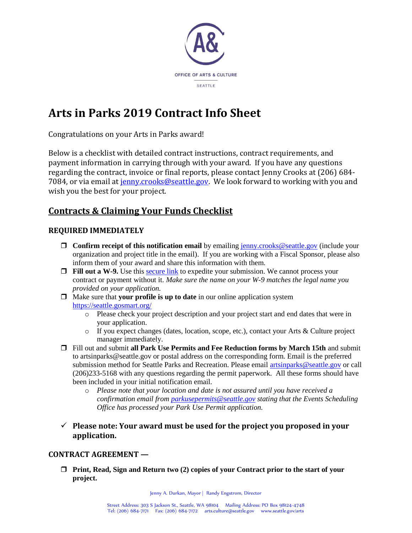

# **Arts in Parks 2019 Contract Info Sheet**

Congratulations on your Arts in Parks award!

Below is a checklist with detailed contract instructions, contract requirements, and payment information in carrying through with your award. If you have any questions regarding the contract, invoice or final reports, please contact Jenny Crooks at (206) 684- 7084, or via email at [jenny.crooks@seattle.gov.](mailto:jenny.crooks@seattle.gov?subject=smARTventures%20Contract%20letter%20inquiry) We look forward to working with you and wish you the best for your project.

# **Contracts & Claiming Your Funds Checklist**

# **REQUIRED IMMEDIATELY**

- **Confirm receipt of this notification email** by emailing [jenny.crooks@seattle.gov](mailto:jenny.crooks@seattle.gov) (include your organization and project title in the email). If you are working with a Fiscal Sponsor, please also inform them of your award and share this information with them.
- **Fill out a W-9.** Use this [secure link](https://seattlegov.na1.echosign.com/public/esignWidget?wid=CBFCIBAA3AAABLblqZhA8PxeeAcpB2w7mIklATn3aP89VcFxGGnldENzSeSd4KwRM_2RDAJpP67gc6598kXA*) to expedite your submission. We cannot process your contract or payment without it. *Make sure the name on your W-9 matches the legal name you provided on your application.*
- Make sure that **your profile is up to date** in our online application system <https://seattle.gosmart.org/>
	- o Please check your project description and your project start and end dates that were in your application.
	- o If you expect changes (dates, location, scope, etc.), contact your Arts & Culture project manager immediately.
- Fill out and submit **all Park Use Permits and Fee Reduction forms by March 15th** and submit to artsinparks@seattle.gov or postal address on the corresponding form. Email is the preferred submission method for Seattle Parks and Recreation. Please email [artsinparks@seattle.gov](mailto:artsinparks@seattle.gov) or call (206)233-5168 with any questions regarding the permit paperwork. All these forms should have been included in your initial notification email.
	- o *Please note that your location and date is not assured until you have received a confirmation email from [parkusepermits@seattle.gov](mailto:parkusepermits@seattle.gov) stating that the Events Scheduling Office has processed your Park Use Permit application.*
- ✓ **Please note: Your award must be used for the project you proposed in your application.**

#### **CONTRACT AGREEMENT —**

**Print, Read, Sign and Return two (2) copies of your Contract prior to the start of your project.** 

Jenny A. Durkan, Mayor | Randy Engstrom, Director